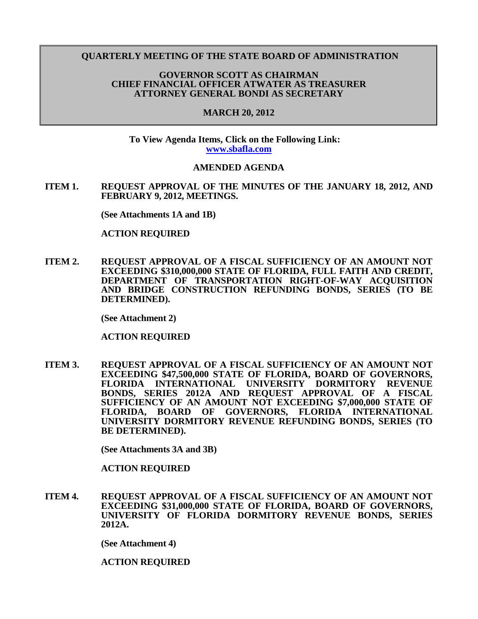### **QUARTERLY MEETING OF THE STATE BOARD OF ADMINISTRATION**

### **GOVERNOR SCOTT AS CHAIRMAN CHIEF FINANCIAL OFFICER ATWATER AS TREASURER ATTORNEY GENERAL BONDI AS SECRETARY**

#### **MARCH 20, 2012**

**To View Agenda Items, Click on the Following Link: [www.sbafla.com](https://www.sbafla.com/fsb/Trustees/2012Meetings/tabid/1315/Default.aspx)**

#### **AMENDED AGENDA**

**ITEM 1. REQUEST APPROVAL OF THE MINUTES OF THE JANUARY 18, 2012, AND FEBRUARY 9, 2012, MEETINGS.**

**(See Attachments 1A and 1B)**

#### **ACTION REQUIRED**

**ITEM 2. REQUEST APPROVAL OF A FISCAL SUFFICIENCY OF AN AMOUNT NOT EXCEEDING \$310,000,000 STATE OF FLORIDA, FULL FAITH AND CREDIT, DEPARTMENT OF TRANSPORTATION RIGHT-OF-WAY ACQUISITION AND BRIDGE CONSTRUCTION REFUNDING BONDS, SERIES (TO BE DETERMINED).**

**(See Attachment 2)**

**ACTION REQUIRED**

**ITEM 3. REQUEST APPROVAL OF A FISCAL SUFFICIENCY OF AN AMOUNT NOT EXCEEDING \$47,500,000 STATE OF FLORIDA, BOARD OF GOVERNORS, FLORIDA INTERNATIONAL UNIVERSITY DORMITORY REVENUE BONDS, SERIES 2012A AND REQUEST APPROVAL OF A FISCAL SUFFICIENCY OF AN AMOUNT NOT EXCEEDING \$7,000,000 STATE OF FLORIDA, BOARD OF GOVERNORS, FLORIDA INTERNATIONAL UNIVERSITY DORMITORY REVENUE REFUNDING BONDS, SERIES (TO BE DETERMINED).**

**(See Attachments 3A and 3B)**

**ACTION REQUIRED**

**ITEM 4. REQUEST APPROVAL OF A FISCAL SUFFICIENCY OF AN AMOUNT NOT EXCEEDING \$31,000,000 STATE OF FLORIDA, BOARD OF GOVERNORS, UNIVERSITY OF FLORIDA DORMITORY REVENUE BONDS, SERIES 2012A.**

**(See Attachment 4)**

**ACTION REQUIRED**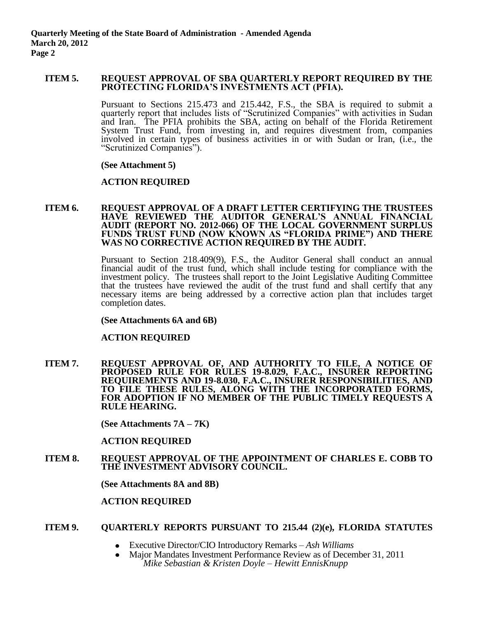### **ITEM 5. REQUEST APPROVAL OF SBA QUARTERLY REPORT REQUIRED BY THE PROTECTING FLORIDA'S INVESTMENTS ACT (PFIA).**

Pursuant to Sections 215.473 and 215.442, F.S., the SBA is required to submit a quarterly report that includes lists of "Scrutinized Companies" with activities in Sudan and Iran. The PFIA prohibits the SBA, acting on behalf of the Florida Retirement System Trust Fund, from investing in, and requires divestment from, companies involved in certain types of business activities in or with Sudan or Iran, (i.e., the "Scrutinized Companies").

#### **(See Attachment 5)**

# **ACTION REQUIRED**

#### **ITEM 6. REQUEST APPROVAL OF A DRAFT LETTER CERTIFYING THE TRUSTEES HAVE REVIEWED THE AUDITOR GENERAL'S ANNUAL FINANCIAL AUDIT (REPORT NO. 2012-066) OF THE LOCAL GOVERNMENT SURPLUS FUNDS TRUST FUND (NOW KNOWN AS "FLORIDA PRIME") AND THERE WAS NO CORRECTIVE ACTION REQUIRED BY THE AUDIT.**

Pursuant to Section 218.409(9), F.S., the Auditor General shall conduct an annual financial audit of the trust fund, which shall include testing for compliance with the investment policy. The trustees shall report to the Joint Legislative Auditing Committee that the trustees have reviewed the audit of the trust fund and shall certify that any necessary items are being addressed by a corrective action plan that includes target completion dates.

**(See Attachments 6A and 6B)**

# **ACTION REQUIRED**

**ITEM 7. REQUEST APPROVAL OF, AND AUTHORITY TO FILE, A NOTICE OF PROPOSED RULE FOR RULES 19-8.029, F.A.C., INSURER REPORTING REQUIREMENTS AND 19-8.030, F.A.C., INSURER RESPONSIBILITIES, AND TO FILE THESE RULES, ALONG WITH THE INCORPORATED FORMS, FOR ADOPTION IF NO MEMBER OF THE PUBLIC TIMELY REQUESTS A RULE HEARING.**

**(See Attachments 7A – 7K)**

# **ACTION REQUIRED**

**ITEM 8. REQUEST APPROVAL OF THE APPOINTMENT OF CHARLES E. COBB TO THE INVESTMENT ADVISORY COUNCIL.**

**(See Attachments 8A and 8B)**

# **ACTION REQUIRED**

# **ITEM 9. QUARTERLY REPORTS PURSUANT TO 215.44 (2)(e), FLORIDA STATUTES**

- Executive Director/CIO Introductory Remarks *Ash Williams*
- Major Mandates Investment Performance Review as of December 31, 2011 *Mike Sebastian & Kristen Doyle – Hewitt EnnisKnupp*